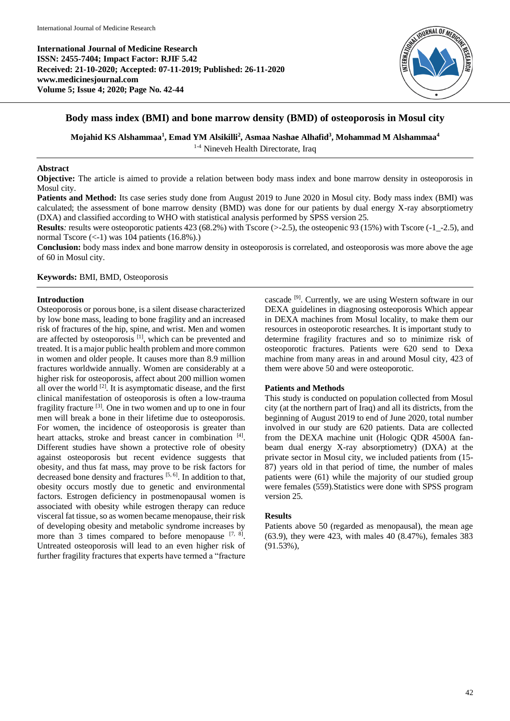

# **Body mass index (BMI) and bone marrow density (BMD) of osteoporosis in Mosul city**

**Mojahid KS Alshammaa<sup>1</sup> , Emad YM Alsikilli<sup>2</sup> , Asmaa Nashae Alhafid<sup>3</sup> , Mohammad M Alshammaa<sup>4</sup>**

<sup>1-4</sup> Nineveh Health Directorate, Iraq

## **Abstract**

**Objective:** The article is aimed to provide a relation between body mass index and bone marrow density in osteoporosis in Mosul city.

**Patients and Method:** Its case series study done from August 2019 to June 2020 in Mosul city. Body mass index (BMI) was calculated; the assessment of bone marrow density (BMD) was done for our patients by dual energy X-ray absorptiometry (DXA) and classified according to WHO with statistical analysis performed by SPSS version 25.

**Results**: results were osteoporotic patients 423 (68.2%) with Tscore (>-2.5), the osteopenic 93 (15%) with Tscore (-1<sub>-</sub>-2.5), and normal Tscore  $(\leq -1)$  was 104 patients  $(16.8\%)$ .

**Conclusion:** body mass index and bone marrow density in osteoporosis is correlated, and osteoporosis was more above the age of 60 in Mosul city.

## **Keywords:** BMI, BMD, Osteoporosis

#### **Introduction**

Osteoporosis or porous bone, is a silent disease characterized by low bone mass, leading to bone fragility and an increased risk of fractures of the hip, spine, and wrist. Men and women are affected by osteoporosis<sup>[1]</sup>, which can be prevented and treated. It is a major public health problem and more common in women and older people. It causes more than 8.9 million fractures worldwide annually. Women are considerably at a higher risk for osteoporosis, affect about 200 million women all over the world  $[2]$ . It is asymptomatic disease, and the first clinical manifestation of osteoporosis is often a low-trauma fragility fracture<sup>[3]</sup>. One in two women and up to one in four men will break a bone in their lifetime due to osteoporosis. For women, the incidence of osteoporosis is greater than heart attacks, stroke and breast cancer in combination [4]. Different studies have shown a protective role of obesity against osteoporosis but recent evidence suggests that obesity, and thus fat mass, may prove to be risk factors for decreased bone density and fractures  $[5, 6]$ . In addition to that, obesity occurs mostly due to genetic and environmental factors. Estrogen deficiency in postmenopausal women is associated with obesity while estrogen therapy can reduce visceral fat tissue, so as women became menopause, their risk of developing obesity and metabolic syndrome increases by more than 3 times compared to before menopause  $[7, 8]$ . Untreated osteoporosis will lead to an even higher risk of further fragility fractures that experts have termed a "fracture

cascade [9] . Currently, we are using Western software in our DEXA guidelines in diagnosing osteoporosis Which appear in DEXA machines from Mosul locality, to make them our resources in osteoporotic researches. It is important study to determine fragility fractures and so to minimize risk of osteoporotic fractures. Patients were 620 send to Dexa machine from many areas in and around Mosul city, 423 of them were above 50 and were osteoporotic.

## **Patients and Methods**

This study is conducted on population collected from Mosul city (at the northern part of Iraq) and all its districts, from the beginning of August 2019 to end of June 2020, total number involved in our study are 620 patients. Data are collected from the DEXA machine unit (Hologic QDR 4500A fanbeam dual energy X-ray absorptiometry) (DXA) at the private sector in Mosul city, we included patients from (15- 87) years old in that period of time, the number of males patients were (61) while the majority of our studied group were females (559).Statistics were done with SPSS program version 25.

## **Results**

Patients above 50 (regarded as menopausal), the mean age (63.9), they were 423, with males 40 (8.47%), females 383 (91.53%),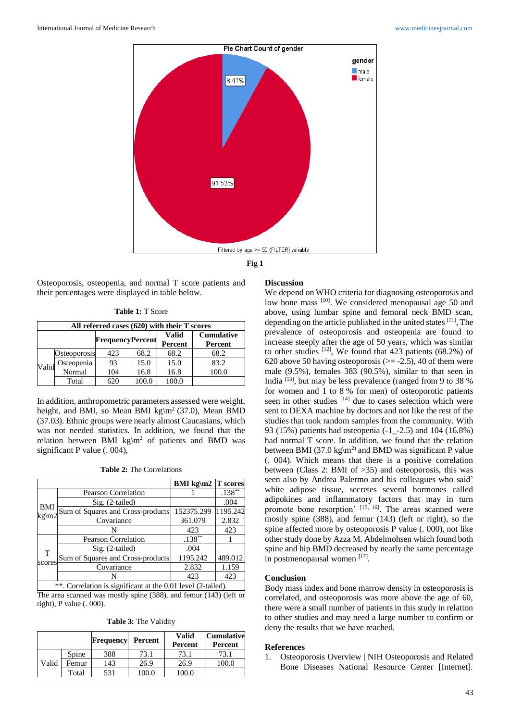

**Fig 1**

Osteoporosis, osteopenia, and normal T score patients and their percentages were displayed in table below.

|  |  |  | <b>Table 1: T Score</b> |
|--|--|--|-------------------------|
|--|--|--|-------------------------|

| All referred cases (620) with their T scores |              |                         |      |              |                   |
|----------------------------------------------|--------------|-------------------------|------|--------------|-------------------|
|                                              |              | <b>FrequencyPercent</b> |      | <b>Valid</b> | <b>Cumulative</b> |
|                                              |              |                         |      | Percent      | Percent           |
| Valid                                        | Osteoporosis | 423                     | 68.2 | 68.2         | 68.2              |
|                                              | Osteopenia   | 93                      | 15.0 | 15.0         | 83.2              |
|                                              | Normal       | 104                     | 16.8 | 16.8         | 100.0             |
|                                              | Total        | 620                     | 00.0 | 100.0        |                   |

In addition, anthropometric parameters assessed were weight, height, and BMI, so Mean BMI kg\m<sup>2</sup> (37.0), Mean BMD (37.03). Ethnic groups were nearly almost Caucasians, which was not needed statistics. In addition, we found that the relation between BMI kg\m<sup>2</sup> of patients and BMD was significant P value (. 004),

|                                                                     |                                   | <b>BMI</b> kg\m2 | <b>T</b> scores |  |
|---------------------------------------------------------------------|-----------------------------------|------------------|-----------------|--|
| BMI<br>$kg\ m2$                                                     | <b>Pearson Correlation</b>        |                  | $.138***$       |  |
|                                                                     | Sig. (2-tailed)                   |                  | .004            |  |
|                                                                     | Sum of Squares and Cross-products | 152375.299       | 1195.242        |  |
|                                                                     | Covariance                        | 361.079          | 2.832           |  |
|                                                                     |                                   | 423              | 423             |  |
| T<br>scores                                                         | <b>Pearson Correlation</b>        | $.138***$        |                 |  |
|                                                                     | Sig. (2-tailed)                   | .004             |                 |  |
|                                                                     | Sum of Squares and Cross-products | 1195.242         | 489.012         |  |
|                                                                     | Covariance                        | 2.832            | 1.159           |  |
|                                                                     |                                   | 423              | 423             |  |
| ** Correlation is significant at the 0.01 level $(2 \text{ trial})$ |                                   |                  |                 |  |

. Correlation is significant at the 0.01 level (2-tailed). The area scanned was mostly spine (388), and femur (143) (left or right), P value (. 000).

**Table 3:** The Validity

|       |       | <b>Frequency</b> | Percent | Valid<br>Percent | <b>Cumulative</b><br>Percent |
|-------|-------|------------------|---------|------------------|------------------------------|
| Valid | Spine | 388              | 73.1    | 73.1             | 73.1                         |
|       | Femur | 143              | 26.9    | 26.9             | 100.0                        |
|       | Total | 531              | 100.0   | 100.0            |                              |

#### **Discussion**

We depend on WHO criteria for diagnosing osteoporosis and low bone mass [10]. We considered menopausal age 50 and above, using lumbar spine and femoral neck BMD scan, depending on the article published in the united states  $[11]$ , The prevalence of osteoporosis and osteopenia are found to increase steeply after the age of 50 years, which was similar to other studies  $[12]$ , We found that 423 patients (68.2%) of 620 above 50 having osteoporosis ( $\ge$  -2.5), 40 of them were male (9.5%), females 383 (90.5%), similar to that seen in India [13] , but may be less prevalence (ranged from 9 to 38 % for women and 1 to 8 % for men) of osteoporotic patients seen in other studies  $[14]$  due to cases selection which were sent to DEXA machine by doctors and not like the rest of the studies that took random samples from the community. With 93 (15%) patients had osteopenia (-1\_-2.5) and 104 (16.8%) had normal T score. In addition, we found that the relation between BMI (37.0 kg\m<sup>2)</sup> and BMD was significant P value (. 004). Which means that there is a positive correlation between (Class 2: BMI of >35) and osteoporosis, this was seen also by Andrea Palermo and his colleagues who said' white adipose tissue, secretes several hormones called adipokines and inflammatory factors that may in turn promote bone resorption' [15, 16]. The areas scanned were mostly spine (388), and femur (143) (left or right), so the spine affected more by osteoporosis P value (. 000), not like other study done by Azza M. Abdelmohsen which found both spine and hip BMD decreased by nearly the same percentage in postmenopausal women [17].

#### **Conclusion**

Body mass index and bone marrow density in osteoporosis is correlated, and osteoporosis was more above the age of 60, there were a small number of patients in this study in relation to other studies and may need a large number to confirm or deny the results that we have reached.

#### **References**

1. Osteoporosis Overview | NIH Osteoporosis and Related Bone Diseases National Resource Center [Internet].